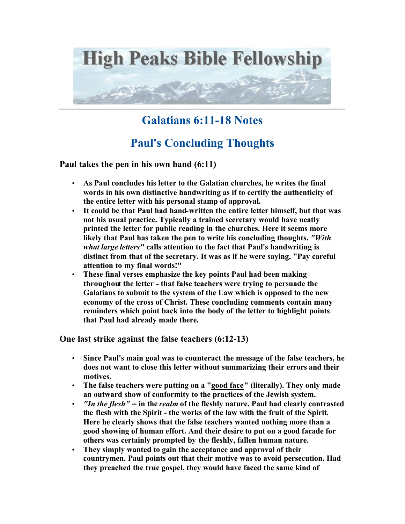

## **Galatians 6:11-18 Notes**

## **Paul's Concluding Thoughts**

**Paul takes the pen in his own hand (6:11)**

- **As Paul concludes his letter to the Galatian churches, he writes the final words in his own distinctive handwriting as if to certify the authenticity of the entire letter with his personal stamp of approval.**
- **It could be that Paul had hand-written the entire letter himself, but that was not his usual practice. Typically a trained secretary would have neatly printed the letter for public reading in the churches. Here it seems more likely that Paul has taken the pen to write his concluding thoughts.** *"With what large letters"* **calls attention to the fact that Paul's handwriting is distinct from that of the secretary. It was as if he were saying, "Pay careful attention to my final words!"**
- **These final verses emphasize the key points Paul had been making throughout the letter - that false teachers were trying to persuade the Galatians to submit to the system of the Law which is opposed to the new economy of the cross of Christ. These concluding comments contain many reminders which point back into the body of the letter to highlight points that Paul had already made there.**

**One last strike against the false teachers (6:12-13)**

- **Since Paul's main goal was to counteract the message of the false teachers, he does not want to close this letter without summarizing their errors and their motives.**
- **The false teachers were putting on a "good face" (literally). They only made an outward show of conformity to the practices of the Jewish system.**
- *"In the flesh"* **= in the** *realm* **of the fleshly nature. Paul had clearly contrasted the flesh with the Spirit - the works of the law with the fruit of the Spirit. Here he clearly shows that the false teachers wanted nothing more than a good showing of human effort. And their desire to put on a good facade for others was certainly prompted by the fleshly, fallen human nature.**
- **They simply wanted to gain the acceptance and approval of their countrymen. Paul points out that their motive was to avoid persecution. Had they preached the true gospel, they would have faced the same kind of**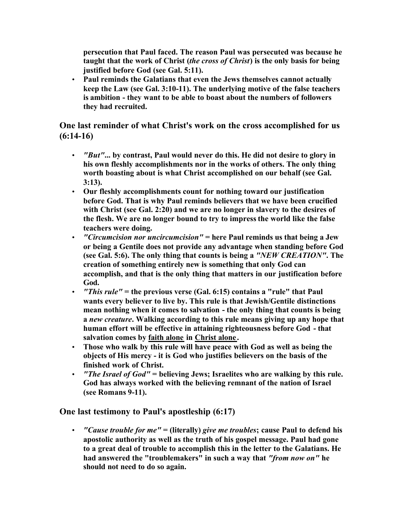**persecution that Paul faced. The reason Paul was persecuted was because he taught that the work of Christ (***the cross of Christ***) is the only basis for being justified before God (see Gal. 5:11).** 

• **Paul reminds the Galatians that even the Jews themselves cannot actually keep the Law (see Gal. 3:10-11). The underlying motive of the false teachers is ambition - they want to be able to boast about the numbers of followers they had recruited.** 

**One last reminder of what Christ's work on the cross accomplished for us (6:14-16)**

- *"But"***... by contrast, Paul would never do this. He did not desire to glory in his own fleshly accomplishments nor in the works of others. The only thing worth boasting about is what Christ accomplished on our behalf (see Gal. 3:13).**
- **Our fleshly accomplishments count for nothing toward our justification before God. That is why Paul reminds believers that we have been crucified with Christ (see Gal. 2:20) and we are no longer in slavery to the desires of the flesh. We are no longer bound to try to impress the world like the false teachers were doing.**
- *"Circumcision nor uncircumcision"* **= here Paul reminds us that being a Jew or being a Gentile does not provide any advantage when standing before God (see Gal. 5:6). The only thing that counts is being a** *"NEW CREATION"***. The creation of something entirely new is something that only God can accomplish, and that is the only thing that matters in our justification before God.**
- *"This rule"* **= the previous verse (Gal. 6:15) contains a "rule" that Paul wants every believer to live by. This rule is that Jewish/Gentile distinctions mean nothing when it comes to salvation - the only thing that counts is being a** *new creature***. Walking according to this rule means giving up any hope that human effort will be effective in attaining righteousness before God - that salvation comes by faith alone in Christ alone .**
- **Those who walk by this rule will have peace with God as well as being the objects of His mercy - it is God who justifies believers on the basis of the finished work of Christ.**
- *"The Israel of God"* **= believing Jews; Israelites who are walking by this rule. God has always worked with the believing remnant of the nation of Israel (see Romans 9-11).**

**One last testimony to Paul's apostleship (6:17)**

• *"Cause trouble for me"* **= (literally)** *give me troubles***; cause Paul to defend his apostolic authority as well as the truth of his gospel message. Paul had gone to a great deal of trouble to accomplish this in the letter to the Galatians. He had answered the "troublemakers" in such a way that** *"from now on"* **he should not need to do so again.**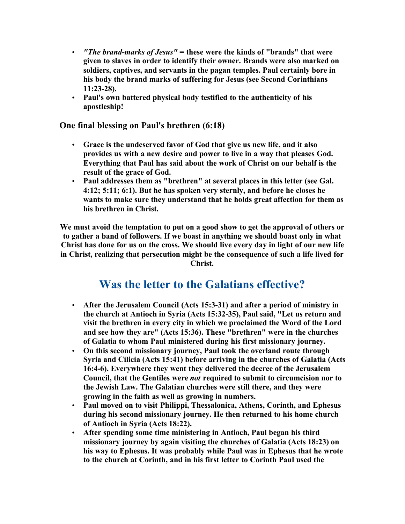- *"The brand-marks of Jesus"* **= these were the kinds of "brands" that were given to slaves in order to identify their owner. Brands were also marked on soldiers, captives, and servants in the pagan temples. Paul certainly bore in his body the brand marks of suffering for Jesus (see Second Corinthians 11:23-28).**
- **Paul's own battered physical body testified to the authenticity of his apostleship!**

**One final blessing on Paul's brethren (6:18)**

- **Grace is the undeserved favor of God that give us new life, and it also provides us with a new desire and power to live in a way that pleases God. Everything that Paul has said about the work of Christ on our behalf is the result of the grace of God.**
- **Paul addresses them as "brethren" at several places in this letter (see Gal. 4:12; 5:11; 6:1). But he has spoken very sternly, and before he closes he wants to make sure they understand that he holds great affection for them as his brethren in Christ.**

**We must avoid the temptation to put on a good show to get the approval of others or to gather a band of followers. If we boast in anything we should boast only in what Christ has done for us on the cross. We should live every day in light of our new life in Christ, realizing that persecution might be the consequence of such a life lived for Christ.** 

## **Was the letter to the Galatians effective?**

- **After the Jerusalem Council (Acts 15:3-31) and after a period of ministry in the church at Antioch in Syria (Acts 15:32-35), Paul said, "Let us return and visit the brethren in every city in which we proclaimed the Word of the Lord and see how they are" (Acts 15:36). These "brethren" were in the churches of Galatia to whom Paul ministered during his first missionary journey.**
- **On this second missionary journey, Paul took the overland route through Syria and Cilicia (Acts 15:41) before arriving in the churches of Galatia (Acts 16:4-6). Everywhere they went they delivered the decree of the Jerusalem Council, that the Gentiles were** *not* **required to submit to circumcision nor to the Jewish Law. The Galatian churches were still there, and they were growing in the faith as well as growing in numbers.**
- **Paul moved on to visit Philippi, Thessalonica, Athens, Corinth, and Ephesus during his second missionary journey. He then returned to his home church of Antioch in Syria (Acts 18:22).**
- **After spending some time ministering in Antioch, Paul began his third missionary journey by again visiting the churches of Galatia (Acts 18:23) on his way to Ephesus. It was probably while Paul was in Ephesus that he wrote to the church at Corinth, and in his first letter to Corinth Paul used the**